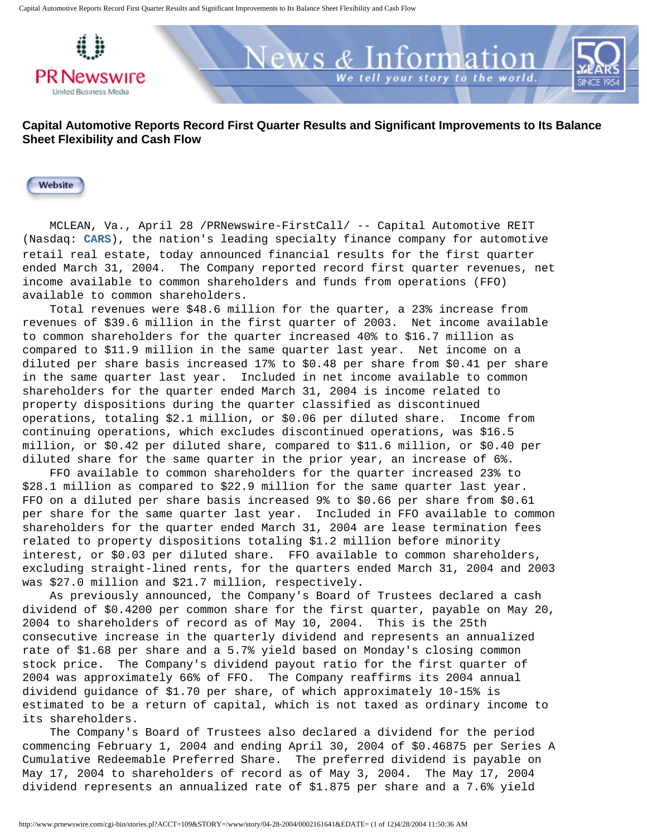

News <u>& Information</u>

your story to the world.

Website

 MCLEAN, Va., April 28 /PRNewswire-FirstCall/ -- Capital Automotive REIT (Nasdaq: **[CARS](http://alliance.marketwatch.com/custom/alliance/interactivechart.asp?symb=CARS&astyle=0,0,0,0,0,0,0,10,0,0&c=179&urlpull=&logourl=&post=0)**), the nation's leading specialty finance company for automotive retail real estate, today announced financial results for the first quarter ended March 31, 2004. The Company reported record first quarter revenues, net income available to common shareholders and funds from operations (FFO) available to common shareholders.

 Total revenues were \$48.6 million for the quarter, a 23% increase from revenues of \$39.6 million in the first quarter of 2003. Net income available to common shareholders for the quarter increased 40% to \$16.7 million as compared to \$11.9 million in the same quarter last year. Net income on a diluted per share basis increased 17% to \$0.48 per share from \$0.41 per share in the same quarter last year. Included in net income available to common shareholders for the quarter ended March 31, 2004 is income related to property dispositions during the quarter classified as discontinued operations, totaling \$2.1 million, or \$0.06 per diluted share. Income from continuing operations, which excludes discontinued operations, was \$16.5 million, or \$0.42 per diluted share, compared to \$11.6 million, or \$0.40 per diluted share for the same quarter in the prior year, an increase of 6%.

 FFO available to common shareholders for the quarter increased 23% to \$28.1 million as compared to \$22.9 million for the same quarter last year. FFO on a diluted per share basis increased 9% to \$0.66 per share from \$0.61 per share for the same quarter last year. Included in FFO available to common shareholders for the quarter ended March 31, 2004 are lease termination fees related to property dispositions totaling \$1.2 million before minority interest, or \$0.03 per diluted share. FFO available to common shareholders, excluding straight-lined rents, for the quarters ended March 31, 2004 and 2003 was \$27.0 million and \$21.7 million, respectively.

 As previously announced, the Company's Board of Trustees declared a cash dividend of \$0.4200 per common share for the first quarter, payable on May 20, 2004 to shareholders of record as of May 10, 2004. This is the 25th consecutive increase in the quarterly dividend and represents an annualized rate of \$1.68 per share and a 5.7% yield based on Monday's closing common stock price. The Company's dividend payout ratio for the first quarter of 2004 was approximately 66% of FFO. The Company reaffirms its 2004 annual dividend guidance of \$1.70 per share, of which approximately 10-15% is estimated to be a return of capital, which is not taxed as ordinary income to its shareholders.

 The Company's Board of Trustees also declared a dividend for the period commencing February 1, 2004 and ending April 30, 2004 of \$0.46875 per Series A Cumulative Redeemable Preferred Share. The preferred dividend is payable on May 17, 2004 to shareholders of record as of May 3, 2004. The May 17, 2004 dividend represents an annualized rate of \$1.875 per share and a 7.6% yield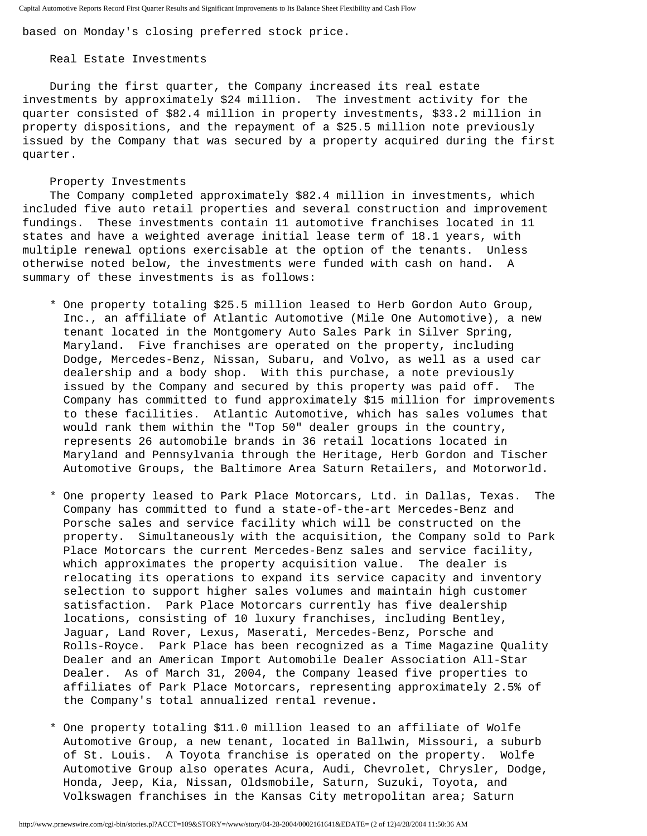based on Monday's closing preferred stock price.

#### Real Estate Investments

 During the first quarter, the Company increased its real estate investments by approximately \$24 million. The investment activity for the quarter consisted of \$82.4 million in property investments, \$33.2 million in property dispositions, and the repayment of a \$25.5 million note previously issued by the Company that was secured by a property acquired during the first quarter.

#### Property Investments

 The Company completed approximately \$82.4 million in investments, which included five auto retail properties and several construction and improvement fundings. These investments contain 11 automotive franchises located in 11 states and have a weighted average initial lease term of 18.1 years, with multiple renewal options exercisable at the option of the tenants. Unless otherwise noted below, the investments were funded with cash on hand. A summary of these investments is as follows:

- \* One property totaling \$25.5 million leased to Herb Gordon Auto Group, Inc., an affiliate of Atlantic Automotive (Mile One Automotive), a new tenant located in the Montgomery Auto Sales Park in Silver Spring, Maryland. Five franchises are operated on the property, including Dodge, Mercedes-Benz, Nissan, Subaru, and Volvo, as well as a used car dealership and a body shop. With this purchase, a note previously issued by the Company and secured by this property was paid off. The Company has committed to fund approximately \$15 million for improvements to these facilities. Atlantic Automotive, which has sales volumes that would rank them within the "Top 50" dealer groups in the country, represents 26 automobile brands in 36 retail locations located in Maryland and Pennsylvania through the Heritage, Herb Gordon and Tischer Automotive Groups, the Baltimore Area Saturn Retailers, and Motorworld.
- \* One property leased to Park Place Motorcars, Ltd. in Dallas, Texas. The Company has committed to fund a state-of-the-art Mercedes-Benz and Porsche sales and service facility which will be constructed on the property. Simultaneously with the acquisition, the Company sold to Park Place Motorcars the current Mercedes-Benz sales and service facility, which approximates the property acquisition value. The dealer is relocating its operations to expand its service capacity and inventory selection to support higher sales volumes and maintain high customer satisfaction. Park Place Motorcars currently has five dealership locations, consisting of 10 luxury franchises, including Bentley, Jaguar, Land Rover, Lexus, Maserati, Mercedes-Benz, Porsche and Rolls-Royce. Park Place has been recognized as a Time Magazine Quality Dealer and an American Import Automobile Dealer Association All-Star Dealer. As of March 31, 2004, the Company leased five properties to affiliates of Park Place Motorcars, representing approximately 2.5% of the Company's total annualized rental revenue.
- \* One property totaling \$11.0 million leased to an affiliate of Wolfe Automotive Group, a new tenant, located in Ballwin, Missouri, a suburb of St. Louis. A Toyota franchise is operated on the property. Wolfe Automotive Group also operates Acura, Audi, Chevrolet, Chrysler, Dodge, Honda, Jeep, Kia, Nissan, Oldsmobile, Saturn, Suzuki, Toyota, and Volkswagen franchises in the Kansas City metropolitan area; Saturn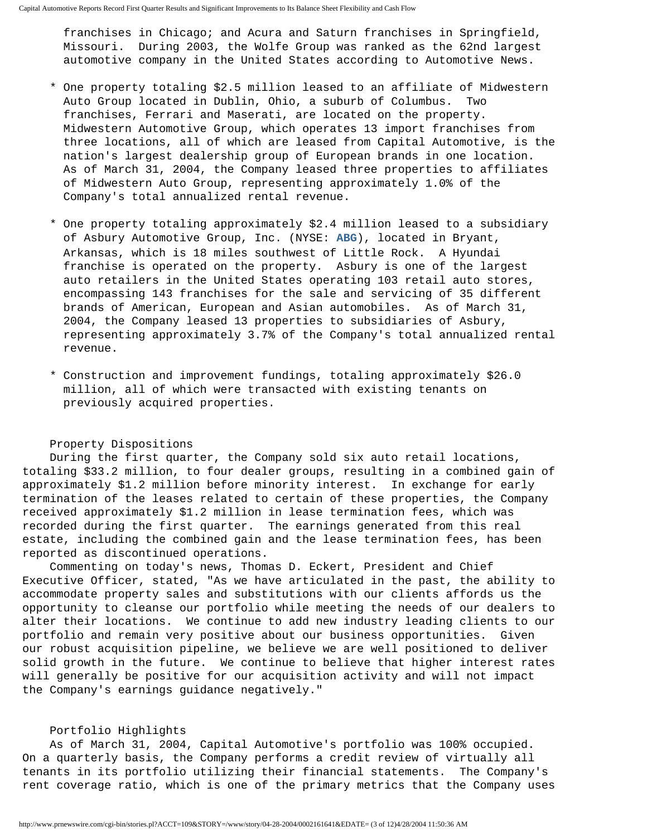franchises in Chicago; and Acura and Saturn franchises in Springfield, Missouri. During 2003, the Wolfe Group was ranked as the 62nd largest automotive company in the United States according to Automotive News.

- \* One property totaling \$2.5 million leased to an affiliate of Midwestern Auto Group located in Dublin, Ohio, a suburb of Columbus. Two franchises, Ferrari and Maserati, are located on the property. Midwestern Automotive Group, which operates 13 import franchises from three locations, all of which are leased from Capital Automotive, is the nation's largest dealership group of European brands in one location. As of March 31, 2004, the Company leased three properties to affiliates of Midwestern Auto Group, representing approximately 1.0% of the Company's total annualized rental revenue.
- \* One property totaling approximately \$2.4 million leased to a subsidiary of Asbury Automotive Group, Inc. (NYSE: **[ABG](http://alliance.marketwatch.com/custom/alliance/interactivechart.asp?symb=ABG&astyle=0,0,0,0,0,0,0,10,0,0&c=179&urlpull=&logourl=&post=0)**), located in Bryant, Arkansas, which is 18 miles southwest of Little Rock. A Hyundai franchise is operated on the property. Asbury is one of the largest auto retailers in the United States operating 103 retail auto stores, encompassing 143 franchises for the sale and servicing of 35 different brands of American, European and Asian automobiles. As of March 31, 2004, the Company leased 13 properties to subsidiaries of Asbury, representing approximately 3.7% of the Company's total annualized rental revenue.
- \* Construction and improvement fundings, totaling approximately \$26.0 million, all of which were transacted with existing tenants on previously acquired properties.

#### Property Dispositions

 During the first quarter, the Company sold six auto retail locations, totaling \$33.2 million, to four dealer groups, resulting in a combined gain of approximately \$1.2 million before minority interest. In exchange for early termination of the leases related to certain of these properties, the Company received approximately \$1.2 million in lease termination fees, which was recorded during the first quarter. The earnings generated from this real estate, including the combined gain and the lease termination fees, has been reported as discontinued operations.

 Commenting on today's news, Thomas D. Eckert, President and Chief Executive Officer, stated, "As we have articulated in the past, the ability to accommodate property sales and substitutions with our clients affords us the opportunity to cleanse our portfolio while meeting the needs of our dealers to alter their locations. We continue to add new industry leading clients to our portfolio and remain very positive about our business opportunities. Given our robust acquisition pipeline, we believe we are well positioned to deliver solid growth in the future. We continue to believe that higher interest rates will generally be positive for our acquisition activity and will not impact the Company's earnings guidance negatively."

#### Portfolio Highlights

 As of March 31, 2004, Capital Automotive's portfolio was 100% occupied. On a quarterly basis, the Company performs a credit review of virtually all tenants in its portfolio utilizing their financial statements. The Company's rent coverage ratio, which is one of the primary metrics that the Company uses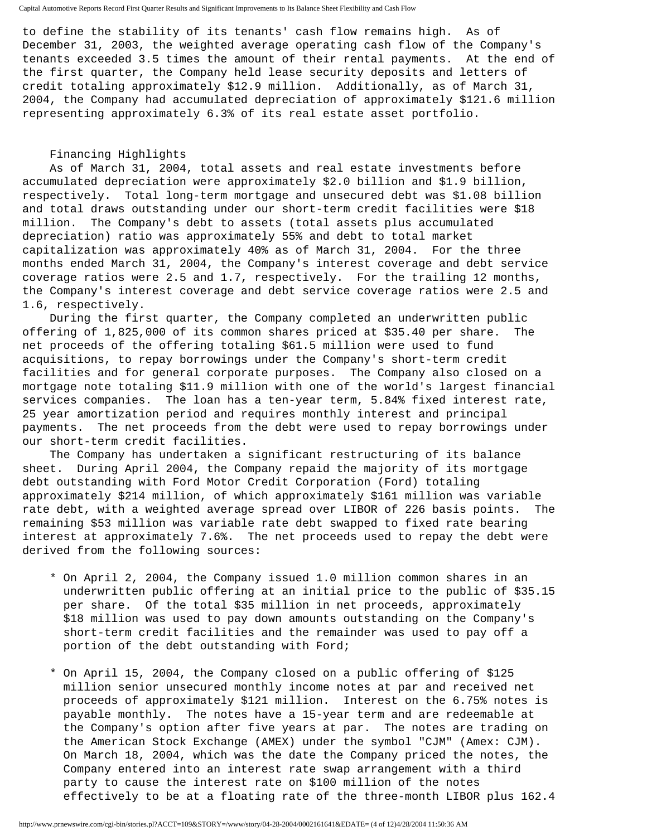to define the stability of its tenants' cash flow remains high. As of December 31, 2003, the weighted average operating cash flow of the Company's tenants exceeded 3.5 times the amount of their rental payments. At the end of the first quarter, the Company held lease security deposits and letters of credit totaling approximately \$12.9 million. Additionally, as of March 31, 2004, the Company had accumulated depreciation of approximately \$121.6 million representing approximately 6.3% of its real estate asset portfolio.

## Financing Highlights

 As of March 31, 2004, total assets and real estate investments before accumulated depreciation were approximately \$2.0 billion and \$1.9 billion, respectively. Total long-term mortgage and unsecured debt was \$1.08 billion and total draws outstanding under our short-term credit facilities were \$18 million. The Company's debt to assets (total assets plus accumulated depreciation) ratio was approximately 55% and debt to total market capitalization was approximately 40% as of March 31, 2004. For the three months ended March 31, 2004, the Company's interest coverage and debt service coverage ratios were 2.5 and 1.7, respectively. For the trailing 12 months, the Company's interest coverage and debt service coverage ratios were 2.5 and 1.6, respectively.

 During the first quarter, the Company completed an underwritten public offering of 1,825,000 of its common shares priced at \$35.40 per share. The net proceeds of the offering totaling \$61.5 million were used to fund acquisitions, to repay borrowings under the Company's short-term credit facilities and for general corporate purposes. The Company also closed on a mortgage note totaling \$11.9 million with one of the world's largest financial services companies. The loan has a ten-year term, 5.84% fixed interest rate, 25 year amortization period and requires monthly interest and principal payments. The net proceeds from the debt were used to repay borrowings under our short-term credit facilities.

 The Company has undertaken a significant restructuring of its balance sheet. During April 2004, the Company repaid the majority of its mortgage debt outstanding with Ford Motor Credit Corporation (Ford) totaling approximately \$214 million, of which approximately \$161 million was variable rate debt, with a weighted average spread over LIBOR of 226 basis points. The remaining \$53 million was variable rate debt swapped to fixed rate bearing interest at approximately 7.6%. The net proceeds used to repay the debt were derived from the following sources:

- \* On April 2, 2004, the Company issued 1.0 million common shares in an underwritten public offering at an initial price to the public of \$35.15 per share. Of the total \$35 million in net proceeds, approximately \$18 million was used to pay down amounts outstanding on the Company's short-term credit facilities and the remainder was used to pay off a portion of the debt outstanding with Ford;
- \* On April 15, 2004, the Company closed on a public offering of \$125 million senior unsecured monthly income notes at par and received net proceeds of approximately \$121 million. Interest on the 6.75% notes is payable monthly. The notes have a 15-year term and are redeemable at the Company's option after five years at par. The notes are trading on the American Stock Exchange (AMEX) under the symbol "CJM" (Amex: CJM). On March 18, 2004, which was the date the Company priced the notes, the Company entered into an interest rate swap arrangement with a third party to cause the interest rate on \$100 million of the notes effectively to be at a floating rate of the three-month LIBOR plus 162.4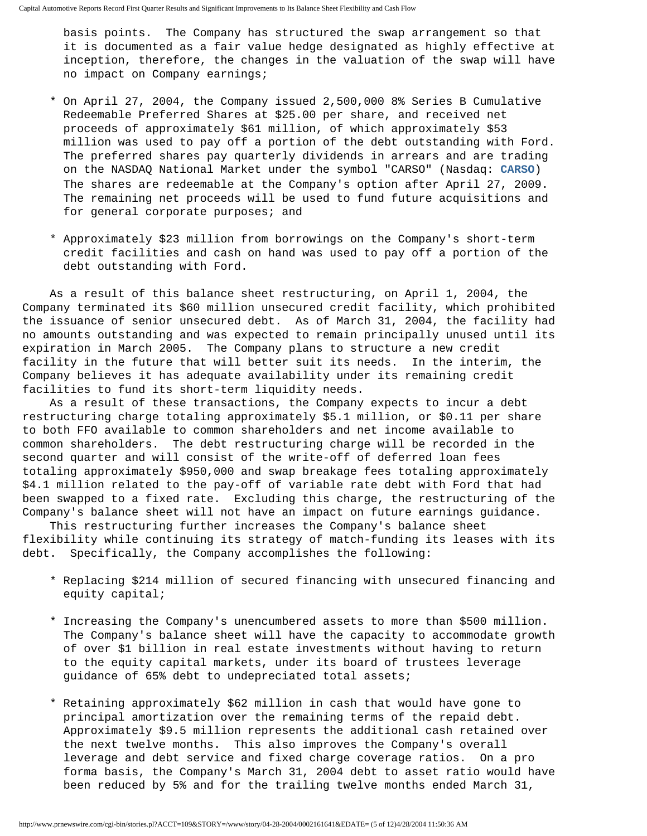basis points. The Company has structured the swap arrangement so that it is documented as a fair value hedge designated as highly effective at inception, therefore, the changes in the valuation of the swap will have no impact on Company earnings;

- \* On April 27, 2004, the Company issued 2,500,000 8% Series B Cumulative Redeemable Preferred Shares at \$25.00 per share, and received net proceeds of approximately \$61 million, of which approximately \$53 million was used to pay off a portion of the debt outstanding with Ford. The preferred shares pay quarterly dividends in arrears and are trading on the NASDAQ National Market under the symbol "CARSO" (Nasdaq: **[CARSO](http://alliance.marketwatch.com/custom/alliance/interactivechart.asp?symb=CARSO&astyle=0,0,0,0,0,0,0,10,0,0&c=179&urlpull=&logourl=&post=0)**) The shares are redeemable at the Company's option after April 27, 2009. The remaining net proceeds will be used to fund future acquisitions and for general corporate purposes; and
- \* Approximately \$23 million from borrowings on the Company's short-term credit facilities and cash on hand was used to pay off a portion of the debt outstanding with Ford.

 As a result of this balance sheet restructuring, on April 1, 2004, the Company terminated its \$60 million unsecured credit facility, which prohibited the issuance of senior unsecured debt. As of March 31, 2004, the facility had no amounts outstanding and was expected to remain principally unused until its expiration in March 2005. The Company plans to structure a new credit facility in the future that will better suit its needs. In the interim, the Company believes it has adequate availability under its remaining credit facilities to fund its short-term liquidity needs.

 As a result of these transactions, the Company expects to incur a debt restructuring charge totaling approximately \$5.1 million, or \$0.11 per share to both FFO available to common shareholders and net income available to common shareholders. The debt restructuring charge will be recorded in the second quarter and will consist of the write-off of deferred loan fees totaling approximately \$950,000 and swap breakage fees totaling approximately \$4.1 million related to the pay-off of variable rate debt with Ford that had been swapped to a fixed rate. Excluding this charge, the restructuring of the Company's balance sheet will not have an impact on future earnings guidance.

 This restructuring further increases the Company's balance sheet flexibility while continuing its strategy of match-funding its leases with its debt. Specifically, the Company accomplishes the following:

- \* Replacing \$214 million of secured financing with unsecured financing and equity capital;
- \* Increasing the Company's unencumbered assets to more than \$500 million. The Company's balance sheet will have the capacity to accommodate growth of over \$1 billion in real estate investments without having to return to the equity capital markets, under its board of trustees leverage guidance of 65% debt to undepreciated total assets;
- \* Retaining approximately \$62 million in cash that would have gone to principal amortization over the remaining terms of the repaid debt. Approximately \$9.5 million represents the additional cash retained over the next twelve months. This also improves the Company's overall leverage and debt service and fixed charge coverage ratios. On a pro forma basis, the Company's March 31, 2004 debt to asset ratio would have been reduced by 5% and for the trailing twelve months ended March 31,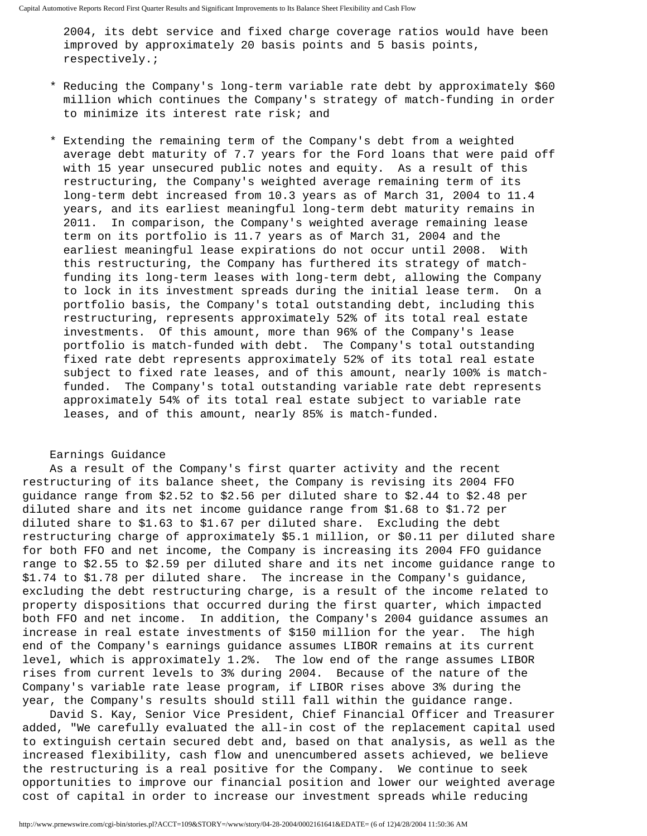2004, its debt service and fixed charge coverage ratios would have been improved by approximately 20 basis points and 5 basis points, respectively.;

- \* Reducing the Company's long-term variable rate debt by approximately \$60 million which continues the Company's strategy of match-funding in order to minimize its interest rate risk; and
- \* Extending the remaining term of the Company's debt from a weighted average debt maturity of 7.7 years for the Ford loans that were paid off with 15 year unsecured public notes and equity. As a result of this restructuring, the Company's weighted average remaining term of its long-term debt increased from 10.3 years as of March 31, 2004 to 11.4 years, and its earliest meaningful long-term debt maturity remains in 2011. In comparison, the Company's weighted average remaining lease term on its portfolio is 11.7 years as of March 31, 2004 and the earliest meaningful lease expirations do not occur until 2008. With this restructuring, the Company has furthered its strategy of match funding its long-term leases with long-term debt, allowing the Company to lock in its investment spreads during the initial lease term. On a portfolio basis, the Company's total outstanding debt, including this restructuring, represents approximately 52% of its total real estate investments. Of this amount, more than 96% of the Company's lease portfolio is match-funded with debt. The Company's total outstanding fixed rate debt represents approximately 52% of its total real estate subject to fixed rate leases, and of this amount, nearly 100% is match funded. The Company's total outstanding variable rate debt represents approximately 54% of its total real estate subject to variable rate leases, and of this amount, nearly 85% is match-funded.

### Earnings Guidance

 As a result of the Company's first quarter activity and the recent restructuring of its balance sheet, the Company is revising its 2004 FFO guidance range from \$2.52 to \$2.56 per diluted share to \$2.44 to \$2.48 per diluted share and its net income guidance range from \$1.68 to \$1.72 per diluted share to \$1.63 to \$1.67 per diluted share. Excluding the debt restructuring charge of approximately \$5.1 million, or \$0.11 per diluted share for both FFO and net income, the Company is increasing its 2004 FFO guidance range to \$2.55 to \$2.59 per diluted share and its net income guidance range to \$1.74 to \$1.78 per diluted share. The increase in the Company's guidance, excluding the debt restructuring charge, is a result of the income related to property dispositions that occurred during the first quarter, which impacted both FFO and net income. In addition, the Company's 2004 guidance assumes an increase in real estate investments of \$150 million for the year. The high end of the Company's earnings guidance assumes LIBOR remains at its current level, which is approximately 1.2%. The low end of the range assumes LIBOR rises from current levels to 3% during 2004. Because of the nature of the Company's variable rate lease program, if LIBOR rises above 3% during the year, the Company's results should still fall within the guidance range.

 David S. Kay, Senior Vice President, Chief Financial Officer and Treasurer added, "We carefully evaluated the all-in cost of the replacement capital used to extinguish certain secured debt and, based on that analysis, as well as the increased flexibility, cash flow and unencumbered assets achieved, we believe the restructuring is a real positive for the Company. We continue to seek opportunities to improve our financial position and lower our weighted average cost of capital in order to increase our investment spreads while reducing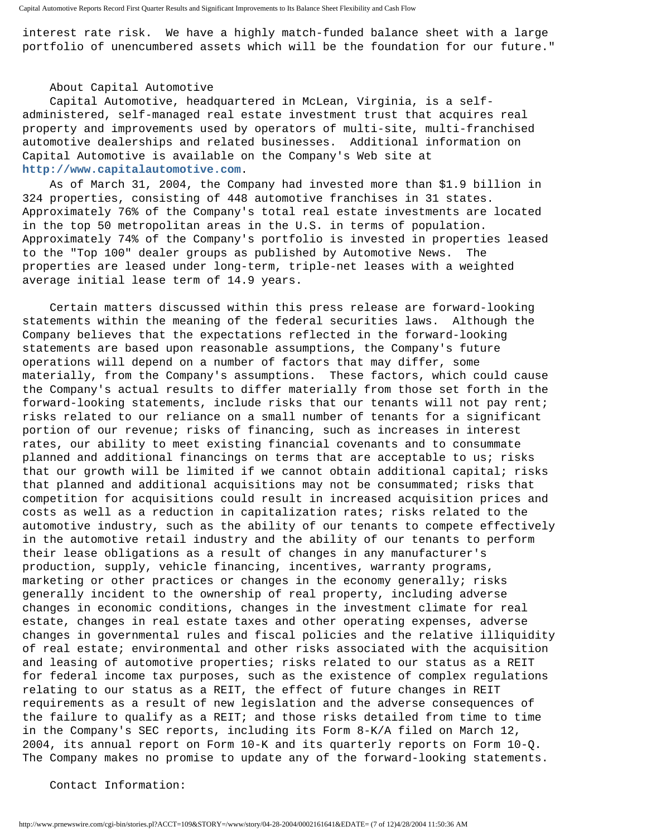interest rate risk. We have a highly match-funded balance sheet with a large portfolio of unencumbered assets which will be the foundation for our future."

#### About Capital Automotive

 Capital Automotive, headquartered in McLean, Virginia, is a selfadministered, self-managed real estate investment trust that acquires real property and improvements used by operators of multi-site, multi-franchised automotive dealerships and related businesses. Additional information on Capital Automotive is available on the Company's Web site at **[http://www.capitalautomotive.com](http://www.capitalautomotive.com/)**.

 As of March 31, 2004, the Company had invested more than \$1.9 billion in 324 properties, consisting of 448 automotive franchises in 31 states. Approximately 76% of the Company's total real estate investments are located in the top 50 metropolitan areas in the U.S. in terms of population. Approximately 74% of the Company's portfolio is invested in properties leased to the "Top 100" dealer groups as published by Automotive News. The properties are leased under long-term, triple-net leases with a weighted average initial lease term of 14.9 years.

 Certain matters discussed within this press release are forward-looking statements within the meaning of the federal securities laws. Although the Company believes that the expectations reflected in the forward-looking statements are based upon reasonable assumptions, the Company's future operations will depend on a number of factors that may differ, some materially, from the Company's assumptions. These factors, which could cause the Company's actual results to differ materially from those set forth in the forward-looking statements, include risks that our tenants will not pay rent; risks related to our reliance on a small number of tenants for a significant portion of our revenue; risks of financing, such as increases in interest rates, our ability to meet existing financial covenants and to consummate planned and additional financings on terms that are acceptable to us; risks that our growth will be limited if we cannot obtain additional capital; risks that planned and additional acquisitions may not be consummated; risks that competition for acquisitions could result in increased acquisition prices and costs as well as a reduction in capitalization rates; risks related to the automotive industry, such as the ability of our tenants to compete effectively in the automotive retail industry and the ability of our tenants to perform their lease obligations as a result of changes in any manufacturer's production, supply, vehicle financing, incentives, warranty programs, marketing or other practices or changes in the economy generally; risks generally incident to the ownership of real property, including adverse changes in economic conditions, changes in the investment climate for real estate, changes in real estate taxes and other operating expenses, adverse changes in governmental rules and fiscal policies and the relative illiquidity of real estate; environmental and other risks associated with the acquisition and leasing of automotive properties; risks related to our status as a REIT for federal income tax purposes, such as the existence of complex regulations relating to our status as a REIT, the effect of future changes in REIT requirements as a result of new legislation and the adverse consequences of the failure to qualify as a REIT; and those risks detailed from time to time in the Company's SEC reports, including its Form 8-K/A filed on March 12, 2004, its annual report on Form 10-K and its quarterly reports on Form 10-Q. The Company makes no promise to update any of the forward-looking statements.

Contact Information: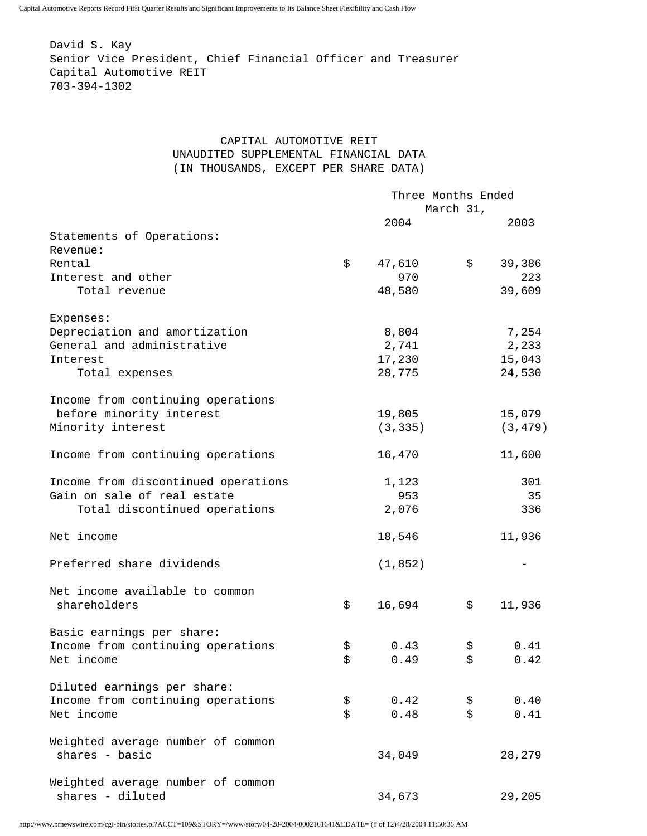David S. Kay Senior Vice President, Chief Financial Officer and Treasurer Capital Automotive REIT 703-394-1302

## CAPITAL AUTOMOTIVE REIT UNAUDITED SUPPLEMENTAL FINANCIAL DATA (IN THOUSANDS, EXCEPT PER SHARE DATA)

|                                     |    | Three Months Ended |           |          |  |
|-------------------------------------|----|--------------------|-----------|----------|--|
|                                     |    |                    | March 31, |          |  |
|                                     |    | 2004               |           | 2003     |  |
| Statements of Operations:           |    |                    |           |          |  |
| Revenue:                            |    |                    |           |          |  |
| Rental                              | \$ | 47,610             | \$        | 39,386   |  |
| Interest and other                  |    | 970                |           | 223      |  |
| Total revenue                       |    | 48,580             |           | 39,609   |  |
| Expenses:                           |    |                    |           |          |  |
| Depreciation and amortization       |    | 8,804              |           | 7,254    |  |
| General and administrative          |    | 2,741              |           | 2,233    |  |
| Interest                            |    | 17,230             |           | 15,043   |  |
| Total expenses                      |    | 28,775             |           | 24,530   |  |
| Income from continuing operations   |    |                    |           |          |  |
| before minority interest            |    | 19,805             |           | 15,079   |  |
| Minority interest                   |    | (3, 335)           |           | (3, 479) |  |
| Income from continuing operations   |    | 16,470             |           | 11,600   |  |
| Income from discontinued operations |    | 1,123              |           | 301      |  |
| Gain on sale of real estate         |    | 953                |           | 35       |  |
| Total discontinued operations       |    | 2,076              |           | 336      |  |
| Net income                          |    | 18,546             |           | 11,936   |  |
| Preferred share dividends           |    | (1, 852)           |           |          |  |
| Net income available to common      |    |                    |           |          |  |
| shareholders                        | \$ | 16,694             | \$        | 11,936   |  |
| Basic earnings per share:           |    |                    |           |          |  |
| Income from continuing operations   | \$ | 0.43               | \$        | 0.41     |  |
| Net income                          | \$ | 0.49               | \$        | 0.42     |  |
| Diluted earnings per share:         |    |                    |           |          |  |
| Income from continuing operations   | \$ | 0.42               | \$        | 0.40     |  |
| Net income                          | \$ | 0.48               | \$        | 0.41     |  |
| Weighted average number of common   |    |                    |           |          |  |
| shares - basic                      |    | 34,049             |           | 28,279   |  |
| Weighted average number of common   |    |                    |           |          |  |
| shares - diluted                    |    | 34,673             |           | 29,205   |  |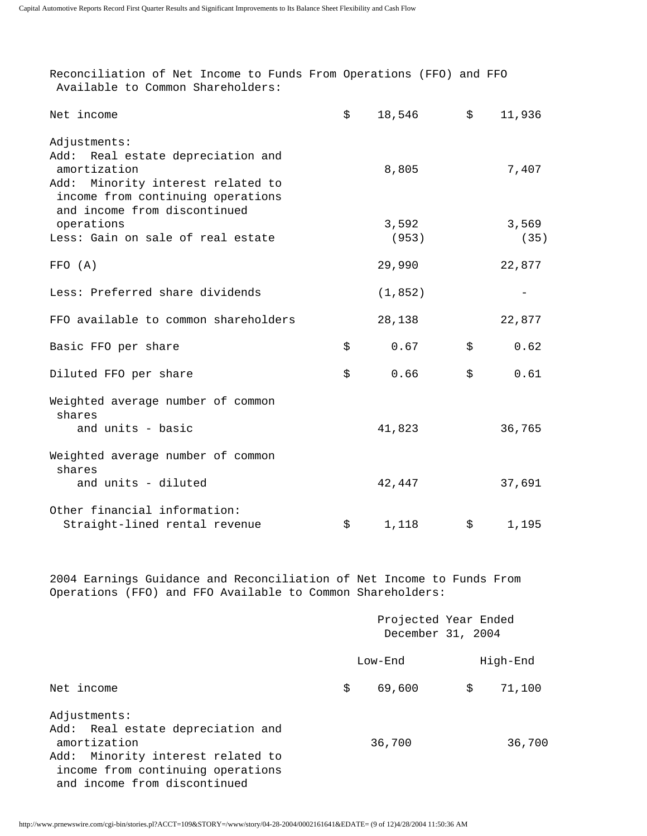| Reconciliation of Net Income to Funds From Operations (FFO) and FFO<br>Available to Common Shareholders:                            |                                           |              |
|-------------------------------------------------------------------------------------------------------------------------------------|-------------------------------------------|--------------|
| Net income                                                                                                                          | \$<br>18,546                              | \$<br>11,936 |
| Adjustments:                                                                                                                        |                                           |              |
| Real estate depreciation and<br>Add:                                                                                                |                                           |              |
| amortization                                                                                                                        | 8,805                                     | 7,407        |
| Add: Minority interest related to<br>income from continuing operations<br>and income from discontinued                              |                                           |              |
| operations                                                                                                                          | 3,592                                     | 3,569        |
| Less: Gain on sale of real estate                                                                                                   | (953)                                     | (35)         |
| FFO (A)                                                                                                                             | 29,990                                    | 22,877       |
| Less: Preferred share dividends                                                                                                     | (1, 852)                                  |              |
| FFO available to common shareholders                                                                                                | 28,138                                    | 22,877       |
| Basic FFO per share                                                                                                                 | \$<br>0.67                                | \$<br>0.62   |
| Diluted FFO per share                                                                                                               | \$<br>0.66                                | \$<br>0.61   |
| Weighted average number of common<br>shares                                                                                         |                                           |              |
| and units - basic                                                                                                                   | 41,823                                    | 36,765       |
| Weighted average number of common<br>shares                                                                                         |                                           |              |
| and units - diluted                                                                                                                 | 42,447                                    | 37,691       |
| Other financial information:                                                                                                        |                                           |              |
| Straight-lined rental revenue                                                                                                       | \$<br>1,118                               | \$<br>1,195  |
|                                                                                                                                     |                                           |              |
| 2004 Earnings Guidance and Reconciliation of Net Income to Funds From<br>Operations (FFO) and FFO Available to Common Shareholders: |                                           |              |
|                                                                                                                                     | Projected Year Ended<br>December 31, 2004 |              |
|                                                                                                                                     | Low-End                                   | High-End     |
| Net income                                                                                                                          | \$<br>69,600                              | \$<br>71,100 |
|                                                                                                                                     |                                           |              |

 Adjustments: Add: Real estate depreciation and amortization 36,700 36,700 Add: Minority interest related to income from continuing operations and income from discontinued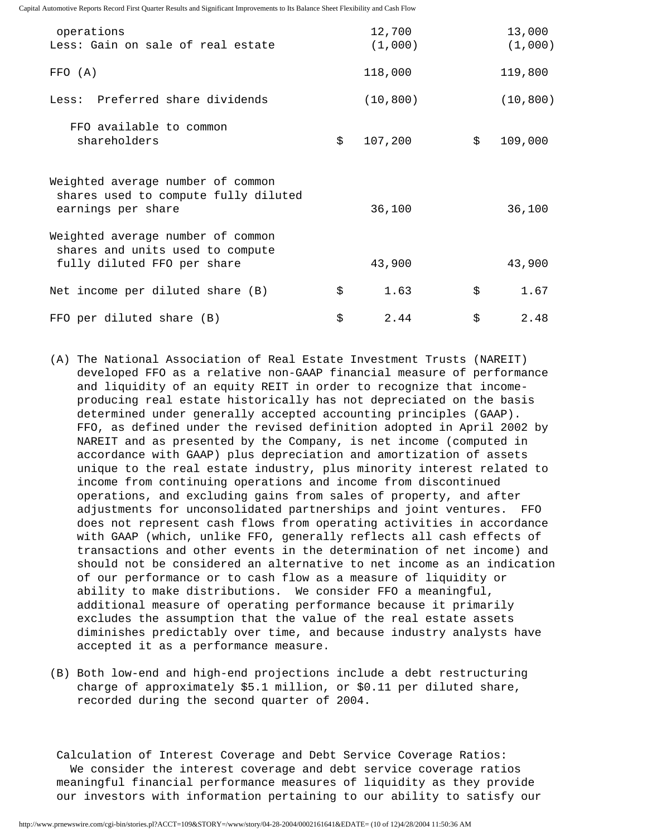| operations<br>Less: Gain on sale of real estate                                                      | 12,700<br>(1,000) | 13,000<br>(1,000) |
|------------------------------------------------------------------------------------------------------|-------------------|-------------------|
| FFO (A)                                                                                              | 118,000           | 119,800           |
| Less: Preferred share dividends                                                                      | (10, 800)         | (10, 800)         |
| FFO available to common<br>shareholders                                                              | \$<br>107,200     | \$<br>109,000     |
| Weighted average number of common<br>shares used to compute fully diluted<br>earnings per share      | 36,100            | 36,100            |
| Weighted average number of common<br>shares and units used to compute<br>fully diluted FFO per share | 43,900            | 43,900            |
| Net income per diluted share (B)                                                                     | \$<br>1.63        | \$<br>1.67        |
| FFO per diluted share (B)                                                                            | \$<br>2.44        | \$<br>2.48        |

- (A) The National Association of Real Estate Investment Trusts (NAREIT) developed FFO as a relative non-GAAP financial measure of performance and liquidity of an equity REIT in order to recognize that income producing real estate historically has not depreciated on the basis determined under generally accepted accounting principles (GAAP). FFO, as defined under the revised definition adopted in April 2002 by NAREIT and as presented by the Company, is net income (computed in accordance with GAAP) plus depreciation and amortization of assets unique to the real estate industry, plus minority interest related to income from continuing operations and income from discontinued operations, and excluding gains from sales of property, and after adjustments for unconsolidated partnerships and joint ventures. FFO does not represent cash flows from operating activities in accordance with GAAP (which, unlike FFO, generally reflects all cash effects of transactions and other events in the determination of net income) and should not be considered an alternative to net income as an indication of our performance or to cash flow as a measure of liquidity or ability to make distributions. We consider FFO a meaningful, additional measure of operating performance because it primarily excludes the assumption that the value of the real estate assets diminishes predictably over time, and because industry analysts have accepted it as a performance measure.
- (B) Both low-end and high-end projections include a debt restructuring charge of approximately \$5.1 million, or \$0.11 per diluted share, recorded during the second quarter of 2004.

 Calculation of Interest Coverage and Debt Service Coverage Ratios: We consider the interest coverage and debt service coverage ratios meaningful financial performance measures of liquidity as they provide our investors with information pertaining to our ability to satisfy our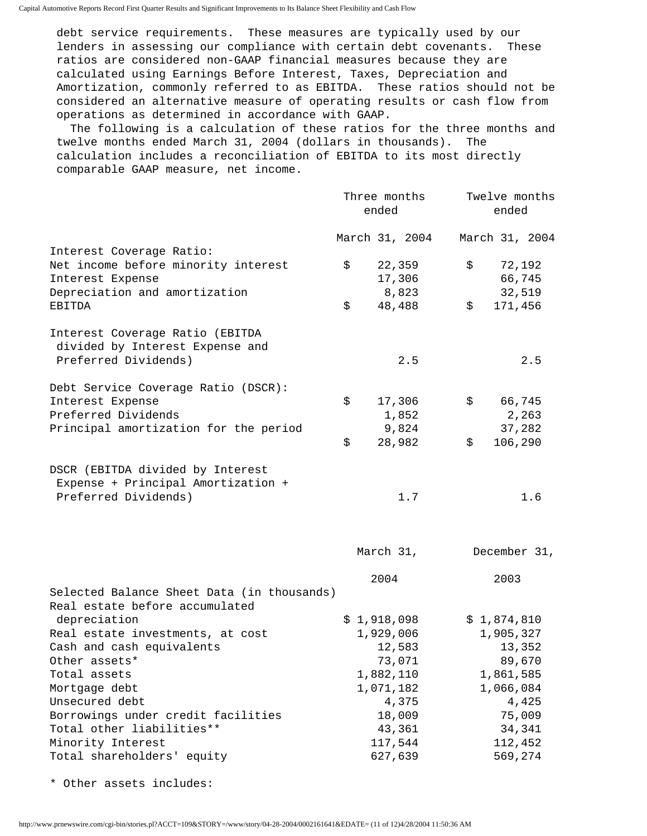debt service requirements. These measures are typically used by our lenders in assessing our compliance with certain debt covenants. These ratios are considered non-GAAP financial measures because they are calculated using Earnings Before Interest, Taxes, Depreciation and Amortization, commonly referred to as EBITDA. These ratios should not be considered an alternative measure of operating results or cash flow from operations as determined in accordance with GAAP.

 The following is a calculation of these ratios for the three months and twelve months ended March 31, 2004 (dollars in thousands). The calculation includes a reconciliation of EBITDA to its most directly comparable GAAP measure, net income.

| \$<br>22,359 | March 31, 2004 |                                                                                                                                                                                            |         |                                                                                        |
|--------------|----------------|--------------------------------------------------------------------------------------------------------------------------------------------------------------------------------------------|---------|----------------------------------------------------------------------------------------|
|              |                |                                                                                                                                                                                            |         | March 31, 2004                                                                         |
|              |                |                                                                                                                                                                                            |         |                                                                                        |
|              |                | \$                                                                                                                                                                                         |         | 72,192                                                                                 |
| 17,306       |                |                                                                                                                                                                                            |         | 66,745                                                                                 |
| 8,823        |                |                                                                                                                                                                                            |         | 32,519                                                                                 |
| \$<br>48,488 |                | \$                                                                                                                                                                                         | 171,456 |                                                                                        |
|              |                |                                                                                                                                                                                            |         |                                                                                        |
|              |                |                                                                                                                                                                                            |         |                                                                                        |
|              |                |                                                                                                                                                                                            |         | 2.5                                                                                    |
|              |                |                                                                                                                                                                                            |         |                                                                                        |
| \$           |                | \$                                                                                                                                                                                         |         | 66,745                                                                                 |
|              |                |                                                                                                                                                                                            |         | 2,263                                                                                  |
|              |                |                                                                                                                                                                                            |         | 37,282                                                                                 |
| \$           |                | \$                                                                                                                                                                                         | 106,290 |                                                                                        |
|              |                |                                                                                                                                                                                            |         |                                                                                        |
|              |                |                                                                                                                                                                                            |         |                                                                                        |
|              |                |                                                                                                                                                                                            |         | 1.6                                                                                    |
|              |                |                                                                                                                                                                                            |         |                                                                                        |
|              |                |                                                                                                                                                                                            | 2003    |                                                                                        |
|              |                |                                                                                                                                                                                            |         |                                                                                        |
|              |                |                                                                                                                                                                                            |         |                                                                                        |
|              |                |                                                                                                                                                                                            |         |                                                                                        |
|              |                |                                                                                                                                                                                            |         |                                                                                        |
|              |                |                                                                                                                                                                                            |         |                                                                                        |
|              |                |                                                                                                                                                                                            |         |                                                                                        |
|              |                |                                                                                                                                                                                            |         |                                                                                        |
|              |                |                                                                                                                                                                                            |         |                                                                                        |
|              |                |                                                                                                                                                                                            |         | 4,425                                                                                  |
|              |                |                                                                                                                                                                                            |         | 75,009                                                                                 |
|              |                |                                                                                                                                                                                            |         | 34,341                                                                                 |
|              |                |                                                                                                                                                                                            | 112,452 |                                                                                        |
|              |                |                                                                                                                                                                                            | 569,274 |                                                                                        |
|              | 2004           | 2.5<br>17,306<br>1,852<br>9,824<br>28,982<br>1.7<br>March 31,<br>\$1,918,098<br>1,929,006<br>12,583<br>73,071<br>1,882,110<br>1,071,182<br>4,375<br>18,009<br>43,361<br>117,544<br>627,639 |         | December 31,<br>\$1,874,810<br>1,905,327<br>13,352<br>89,670<br>1,861,585<br>1,066,084 |

\* Other assets includes: